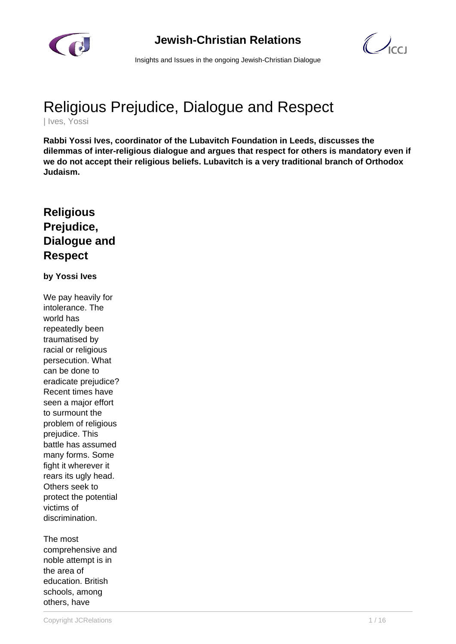



Insights and Issues in the ongoing Jewish-Christian Dialogue

# Religious Prejudice, Dialogue and Respect

| Ives, Yossi

**Rabbi Yossi Ives, coordinator of the Lubavitch Foundation in Leeds, discusses the dilemmas of inter-religious dialogue and argues that respect for others is mandatory even if we do not accept their religious beliefs. Lubavitch is a very traditional branch of Orthodox Judaism.**

## **Religious Prejudice, Dialogue and Respect**

#### **by Yossi Ives**

We pay heavily for intolerance. The world has repeatedly been traumatised by racial or religious persecution. What can be done to eradicate prejudice? Recent times have seen a major effort to surmount the problem of religious prejudice. This battle has assumed many forms. Some fight it wherever it rears its ugly head. Others seek to protect the potential victims of discrimination.

The most comprehensive and noble attempt is in the area of education. British schools, among others, have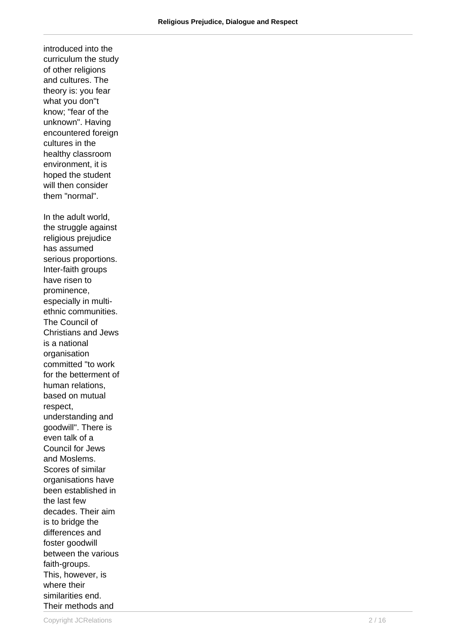introduced into the curriculum the study of other religions and cultures. The theory is: you fear what you don"t know; "fear of the unknown". Having encountered foreign cultures in the healthy classroom environment, it is hoped the student will then consider them "normal". In the adult world, the struggle against religious prejudice has assumed serious proportions. Inter-faith groups have risen to prominence, especially in multiethnic communities. The Council of Christians and Jews is a national organisation committed "to work for the betterment of human relations, based on mutual respect, understanding and goodwill". There is even talk of a Council for Jews and Moslems. Scores of similar organisations have been established in the last few decades. Their aim is to bridge the differences and foster goodwill between the various faith-groups. This, however, is where their similarities end. Their methods and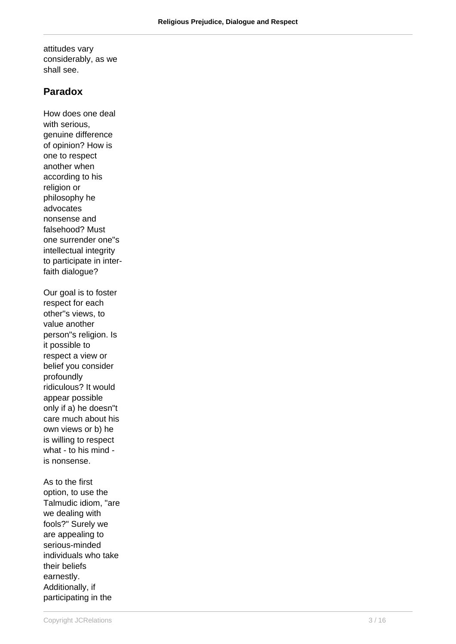attitudes vary considerably, as we shall see.

#### **Paradox**

How does one deal with serious, genuine difference of opinion? How is one to respect another when according to his religion or philosophy he advocates nonsense and falsehood? Must one surrender one"s intellectual integrity to participate in interfaith dialogue? Our goal is to foster respect for each other"s views, to value another person"s religion. Is it possible to respect a view or belief you consider profoundly ridiculous? It would appear possible only if a) he doesn"t care much about his own views or b) he is willing to respect what - to his mind is nonsense. As to the first

option, to use the Talmudic idiom, "are we dealing with fools?" Surely we are appealing to serious-minded individuals who take their beliefs earnestly. Additionally, if participating in the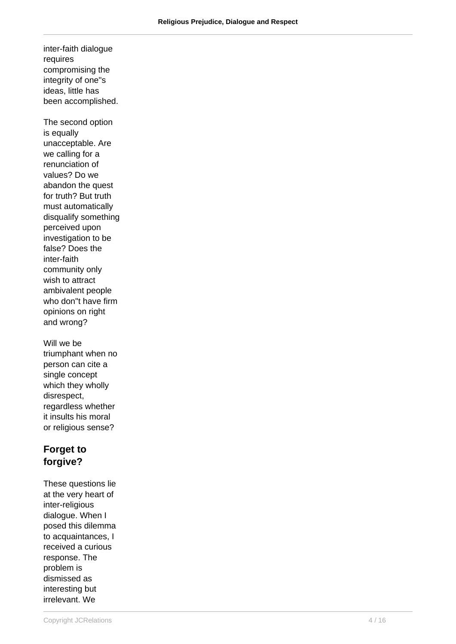inter-faith dialogue requires compromising the integrity of one"s ideas, little has been accomplished.

The second option is equally unacceptable. Are we calling for a renunciation of values? Do we abandon the quest for truth? But truth must automatically disqualify something perceived upon investigation to be false? Does the inter-faith community only wish to attract ambivalent people who don"t have firm opinions on right and wrong?

Will we be triumphant when no person can cite a single concept which they wholly disrespect, regardless whether it insults his moral or religious sense?

## **Forget to forgive?**

These questions lie at the very heart of inter-religious dialogue. When I posed this dilemma to acquaintances, I received a curious response. The problem is dismissed as interesting but irrelevant. We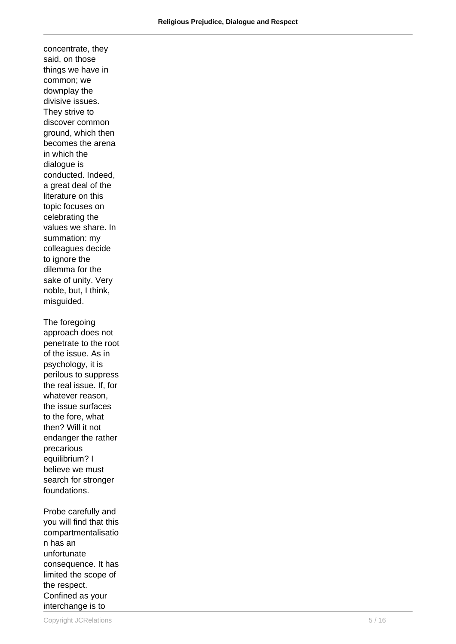concentrate, they said, on those things we have in common; we downplay the divisive issues. They strive to discover common ground, which then becomes the arena in which the dialogue is conducted. Indeed, a great deal of the literature on this topic focuses on celebrating the values we share. In summation: my colleagues decide to ignore the dilemma for the sake of unity. Very noble, but, I think, misguided. The foregoing approach does not penetrate to the root of the issue. As in psychology, it is perilous to suppress the real issue. If, for whatever reason, the issue surfaces

to the fore, what then? Will it not endanger the rather precarious equilibrium? I believe we must search for stronger foundations. Probe carefully and

you will find that this compartmentalisatio n has an unfortunate consequence. It has limited the scope of the respect. Confined as your interchange is to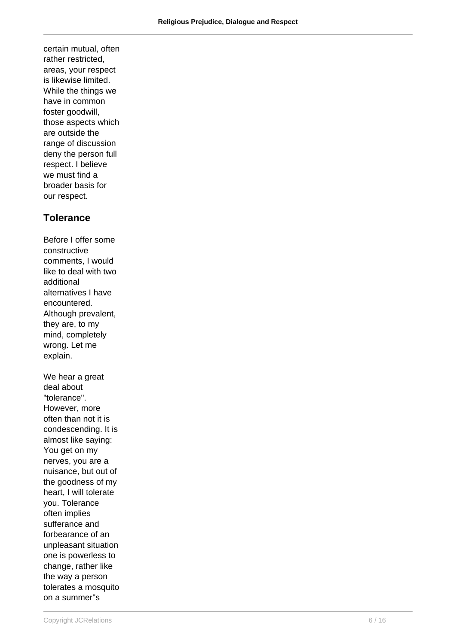certain mutual, often rather restricted, areas, your respect is likewise limited. While the things we have in common foster goodwill, those aspects which are outside the range of discussion deny the person full respect. I believe we must find a broader basis for our respect.

#### **Tolerance**

Before I offer some constructive comments, I would like to deal with two additional alternatives I have encountered. Although prevalent, they are, to my mind, completely wrong. Let me explain. We hear a great deal about "tolerance". However, more often than not it is condescending. It is almost like saying: You get on my nerves, you are a nuisance, but out of the goodness of my heart, I will tolerate you. Tolerance often implies sufferance and forbearance of an unpleasant situation one is powerless to change, rather like the way a person tolerates a mosquito on a summer"s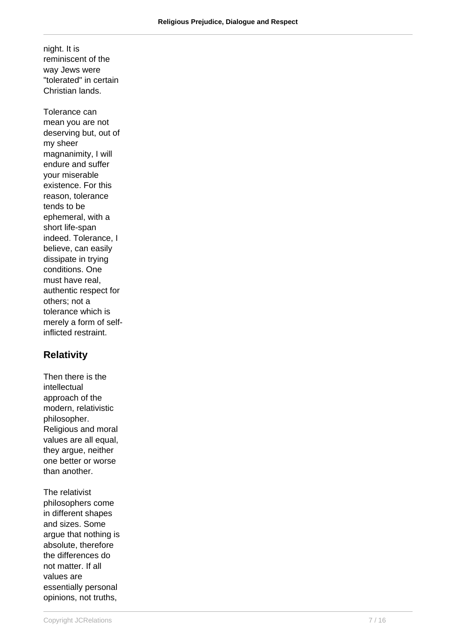night. It is reminiscent of the way Jews were "tolerated" in certain Christian lands.

Tolerance can mean you are not deserving but, out of my sheer magnanimity, I will endure and suffer your miserable existence. For this reason, tolerance tends to be ephemeral, with a short life-span indeed. Tolerance, I believe, can easily dissipate in trying conditions. One must have real, authentic respect for others; not a tolerance which is merely a form of selfinflicted restraint.

#### **Relativity**

Then there is the intellectual approach of the modern, relativistic philosopher. Religious and moral values are all equal, they argue, neither one better or worse than another.

The relativist philosophers come in different shapes and sizes. Some argue that nothing is absolute, therefore the differences do not matter. If all values are essentially personal opinions, not truths,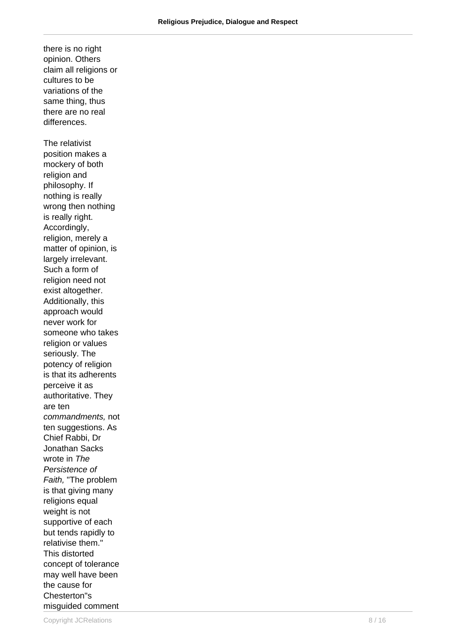opinion. Others claim all religions or cultures to be variations of the same thing, thus there are no real differences. The relativist position makes a mockery of both religion and philosophy. If nothing is really wrong then nothing is really right. Accordingly, religion, merely a matter of opinion, is largely irrelevant. Such a form of religion need not exist altogether. Additionally, this approach would never work for someone who takes religion or values seriously. The potency of religion is that its adherents perceive it as authoritative. They are ten commandments, not ten suggestions. As Chief Rabbi, Dr Jonathan Sacks wrote in The Persistence of Faith, "The problem is that giving many religions equal weight is not supportive of each but tends rapidly to relativise them." This distorted concept of tolerance may well have been the cause for Chesterton"s misguided comment

there is no right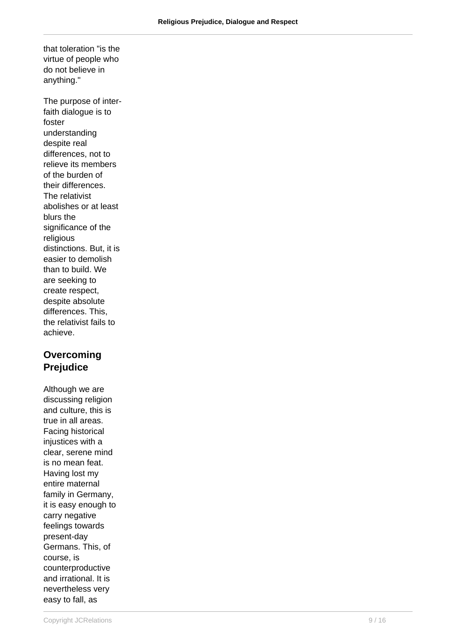that toleration "is the virtue of people who do not believe in anything."

The purpose of interfaith dialogue is to foster understanding despite real differences, not to relieve its members of the burden of their differences. The relativist abolishes or at least blurs the significance of the religious distinctions. But, it is easier to demolish than to build. We are seeking to create respect, despite absolute differences. This, the relativist fails to achieve.

### **Overcoming Prejudice**

Although we are discussing religion and culture, this is true in all areas. Facing historical injustices with a clear, serene mind is no mean feat. Having lost my entire maternal family in Germany, it is easy enough to carry negative feelings towards present-day Germans. This, of course, is counterproductive and irrational. It is nevertheless very easy to fall, as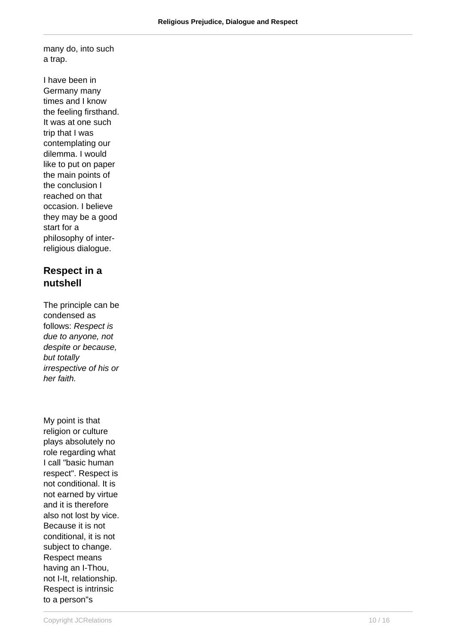many do, into such a trap.

I have been in Germany many times and I know the feeling firsthand. It was at one such trip that I was contemplating our dilemma. I would like to put on paper the main points of the conclusion I reached on that occasion. I believe they may be a good start for a philosophy of interreligious dialogue.

#### **Respect in a nutshell**

The principle can be condensed as follows: Respect is due to anyone, not despite or because, but totally irrespective of his or her faith.

My point is that religion or culture plays absolutely no role regarding what I call "basic human respect". Respect is not conditional. It is not earned by virtue and it is therefore also not lost by vice. Because it is not conditional, it is not subject to change. Respect means having an I-Thou, not I-It, relationship. Respect is intrinsic to a person"s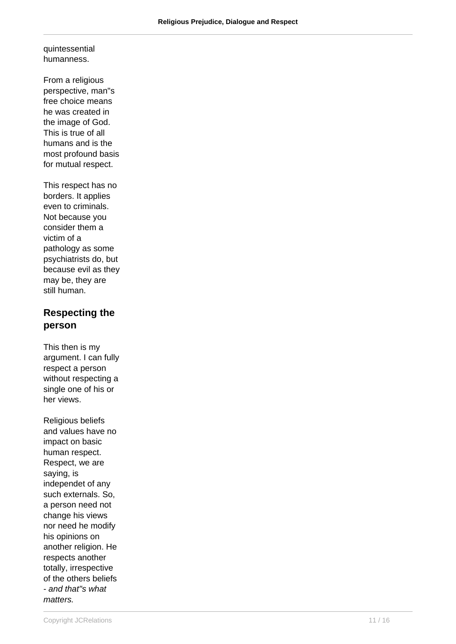quintessential humanness.

From a religious perspective, man"s free choice means he was created in the image of God. This is true of all humans and is the most profound basis for mutual respect.

This respect has no borders. It applies even to criminals. Not because you consider them a victim of a pathology as some psychiatrists do, but because evil as they may be, they are still human.

### **Respecting the person**

This then is my argument. I can fully respect a person without respecting a single one of his or her views.

Religious beliefs and values have no impact on basic human respect. Respect, we are saying, is independet of any such externals. So, a person need not change his views nor need he modify his opinions on another religion. He respects another totally, irrespective of the others beliefs - and that"s what matters.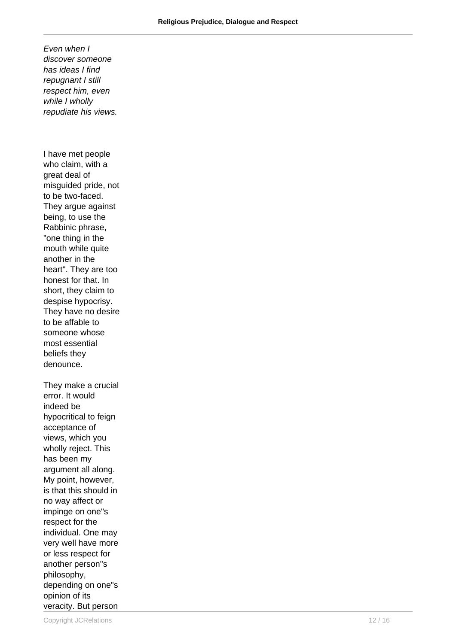Even when I discover someone has ideas I find repugnant I still respect him, even while I wholly repudiate his views.

I have met people who claim, with a great deal of misguided pride, not to be two-faced. They argue against being, to use the Rabbinic phrase, "one thing in the mouth while quite another in the heart". They are too honest for that. In short, they claim to despise hypocrisy. They have no desire to be affable to someone whose most essential beliefs they denounce. They make a crucial error. It would indeed be hypocritical to feign acceptance of views, which you wholly reject. This has been my argument all along.

My point, however, is that this should in no way affect or impinge on one"s respect for the individual. One may very well have more or less respect for another person"s philosophy, depending on one"s opinion of its veracity. But person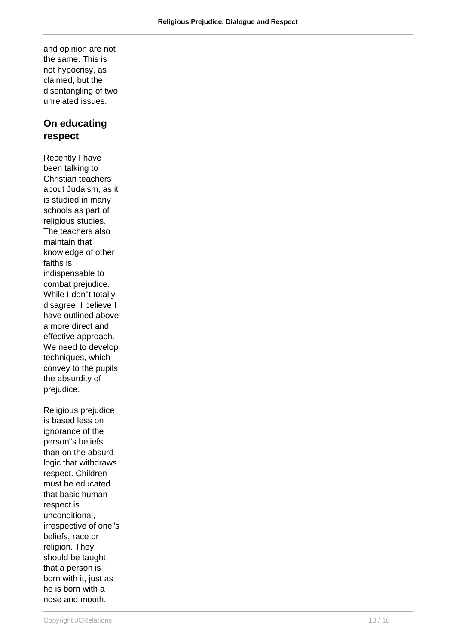and opinion are not the same. This is not hypocrisy, as claimed, but the disentangling of two unrelated issues.

#### **On educating respect**

Recently I have been talking to Christian teachers about Judaism, as it is studied in many schools as part of religious studies. The teachers also maintain that knowledge of other faiths is indispensable to combat prejudice. While I don"t totally disagree, I believe I have outlined above a more direct and effective approach. We need to develop techniques, which convey to the pupils the absurdity of prejudice.

Religious prejudice is based less on ignorance of the person"s beliefs than on the absurd logic that withdraws respect. Children must be educated that basic human respect is unconditional, irrespective of one"s beliefs, race or religion. They should be taught that a person is born with it, just as he is born with a nose and mouth.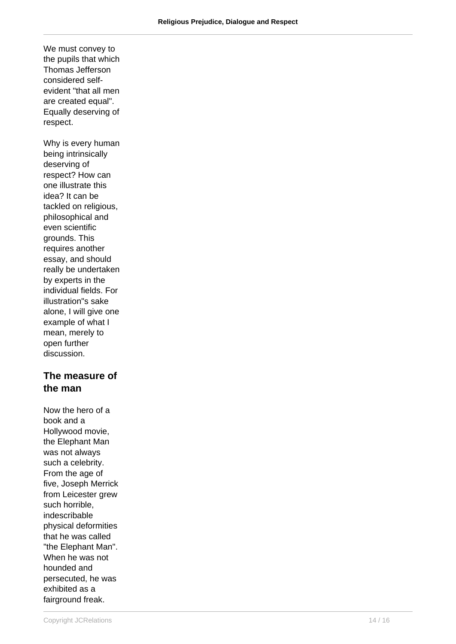We must convey to the pupils that which Thomas Jefferson considered selfevident "that all men are created equal". Equally deserving of respect.

Why is every human being intrinsically deserving of respect? How can one illustrate this idea? It can be tackled on religious, philosophical and even scientific grounds. This requires another essay, and should really be undertaken by experts in the individual fields. For illustration"s sake alone, I will give one example of what I mean, merely to open further discussion.

#### **The measure of the man**

Now the hero of a book and a Hollywood movie, the Elephant Man was not always such a celebrity. From the age of five, Joseph Merrick from Leicester grew such horrible, indescribable physical deformities that he was called "the Elephant Man". When he was not hounded and persecuted, he was exhibited as a fairground freak.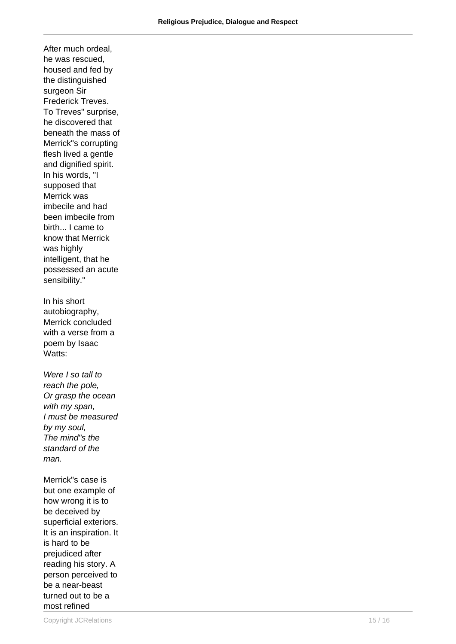he was rescued, housed and fed by the distinguished surgeon Sir Frederick Treves. To Treves" surprise, he discovered that beneath the mass of Merrick"s corrupting flesh lived a gentle and dignified spirit. In his words, "I supposed that Merrick was imbecile and had been imbecile from birth... I came to know that Merrick was highly intelligent, that he possessed an acute sensibility." In his short autobiography, Merrick concluded with a verse from a poem by Isaac Watts: Were I so tall to reach the pole, Or grasp the ocean with my span, I must be measured by my soul, The mind"s the standard of the man. Merrick"s case is but one example of how wrong it is to be deceived by superficial exteriors. It is an inspiration. It is hard to be prejudiced after reading his story. A person perceived to be a near-beast turned out to be a

After much ordeal,

most refined